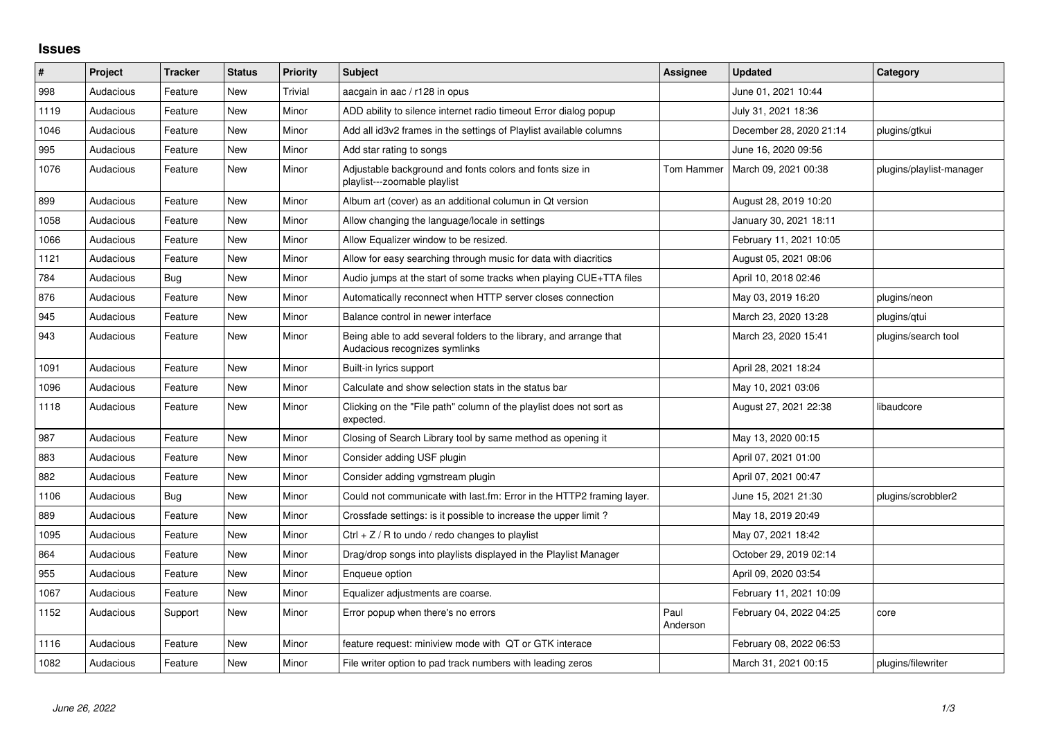## **Issues**

| $\#$ | Project   | <b>Tracker</b> | <b>Status</b> | <b>Priority</b> | <b>Subject</b>                                                                                      | <b>Assignee</b>  | <b>Updated</b>          | Category                 |
|------|-----------|----------------|---------------|-----------------|-----------------------------------------------------------------------------------------------------|------------------|-------------------------|--------------------------|
| 998  | Audacious | Feature        | <b>New</b>    | Trivial         | aacgain in aac / r128 in opus                                                                       |                  | June 01, 2021 10:44     |                          |
| 1119 | Audacious | Feature        | New           | Minor           | ADD ability to silence internet radio timeout Error dialog popup                                    |                  | July 31, 2021 18:36     |                          |
| 1046 | Audacious | Feature        | <b>New</b>    | Minor           | Add all id3v2 frames in the settings of Playlist available columns                                  |                  | December 28, 2020 21:14 | plugins/gtkui            |
| 995  | Audacious | Feature        | <b>New</b>    | Minor           | Add star rating to songs                                                                            |                  | June 16, 2020 09:56     |                          |
| 1076 | Audacious | Feature        | New           | Minor           | Adjustable background and fonts colors and fonts size in<br>playlist---zoomable playlist            | Tom Hammer       | March 09, 2021 00:38    | plugins/playlist-manager |
| 899  | Audacious | Feature        | New           | Minor           | Album art (cover) as an additional columun in Qt version                                            |                  | August 28, 2019 10:20   |                          |
| 1058 | Audacious | Feature        | New           | Minor           | Allow changing the language/locale in settings                                                      |                  | January 30, 2021 18:11  |                          |
| 1066 | Audacious | Feature        | <b>New</b>    | Minor           | Allow Equalizer window to be resized.                                                               |                  | February 11, 2021 10:05 |                          |
| 1121 | Audacious | Feature        | New           | Minor           | Allow for easy searching through music for data with diacritics                                     |                  | August 05, 2021 08:06   |                          |
| 784  | Audacious | <b>Bug</b>     | New           | Minor           | Audio jumps at the start of some tracks when playing CUE+TTA files                                  |                  | April 10, 2018 02:46    |                          |
| 876  | Audacious | Feature        | New           | Minor           | Automatically reconnect when HTTP server closes connection                                          |                  | May 03, 2019 16:20      | plugins/neon             |
| 945  | Audacious | Feature        | New           | Minor           | Balance control in newer interface                                                                  |                  | March 23, 2020 13:28    | plugins/gtui             |
| 943  | Audacious | Feature        | New           | Minor           | Being able to add several folders to the library, and arrange that<br>Audacious recognizes symlinks |                  | March 23, 2020 15:41    | plugins/search tool      |
| 1091 | Audacious | Feature        | New           | Minor           | Built-in lyrics support                                                                             |                  | April 28, 2021 18:24    |                          |
| 1096 | Audacious | Feature        | New           | Minor           | Calculate and show selection stats in the status bar                                                |                  | May 10, 2021 03:06      |                          |
| 1118 | Audacious | Feature        | New           | Minor           | Clicking on the "File path" column of the playlist does not sort as<br>expected.                    |                  | August 27, 2021 22:38   | libaudcore               |
| 987  | Audacious | Feature        | New           | Minor           | Closing of Search Library tool by same method as opening it                                         |                  | May 13, 2020 00:15      |                          |
| 883  | Audacious | Feature        | <b>New</b>    | Minor           | Consider adding USF plugin                                                                          |                  | April 07, 2021 01:00    |                          |
| 882  | Audacious | Feature        | <b>New</b>    | Minor           | Consider adding vgmstream plugin                                                                    |                  | April 07, 2021 00:47    |                          |
| 1106 | Audacious | <b>Bug</b>     | New           | Minor           | Could not communicate with last.fm: Error in the HTTP2 framing layer.                               |                  | June 15, 2021 21:30     | plugins/scrobbler2       |
| 889  | Audacious | Feature        | New           | Minor           | Crossfade settings: is it possible to increase the upper limit?                                     |                  | May 18, 2019 20:49      |                          |
| 1095 | Audacious | Feature        | <b>New</b>    | Minor           | Ctrl $+$ Z / R to undo / redo changes to playlist                                                   |                  | May 07, 2021 18:42      |                          |
| 864  | Audacious | Feature        | New           | Minor           | Drag/drop songs into playlists displayed in the Playlist Manager                                    |                  | October 29, 2019 02:14  |                          |
| 955  | Audacious | Feature        | New           | Minor           | Enqueue option                                                                                      |                  | April 09, 2020 03:54    |                          |
| 1067 | Audacious | Feature        | New           | Minor           | Equalizer adjustments are coarse.                                                                   |                  | February 11, 2021 10:09 |                          |
| 1152 | Audacious | Support        | New           | Minor           | Error popup when there's no errors                                                                  | Paul<br>Anderson | February 04, 2022 04:25 | core                     |
| 1116 | Audacious | Feature        | <b>New</b>    | Minor           | feature request: miniview mode with QT or GTK interace                                              |                  | February 08, 2022 06:53 |                          |
| 1082 | Audacious | Feature        | New           | Minor           | File writer option to pad track numbers with leading zeros                                          |                  | March 31, 2021 00:15    | plugins/filewriter       |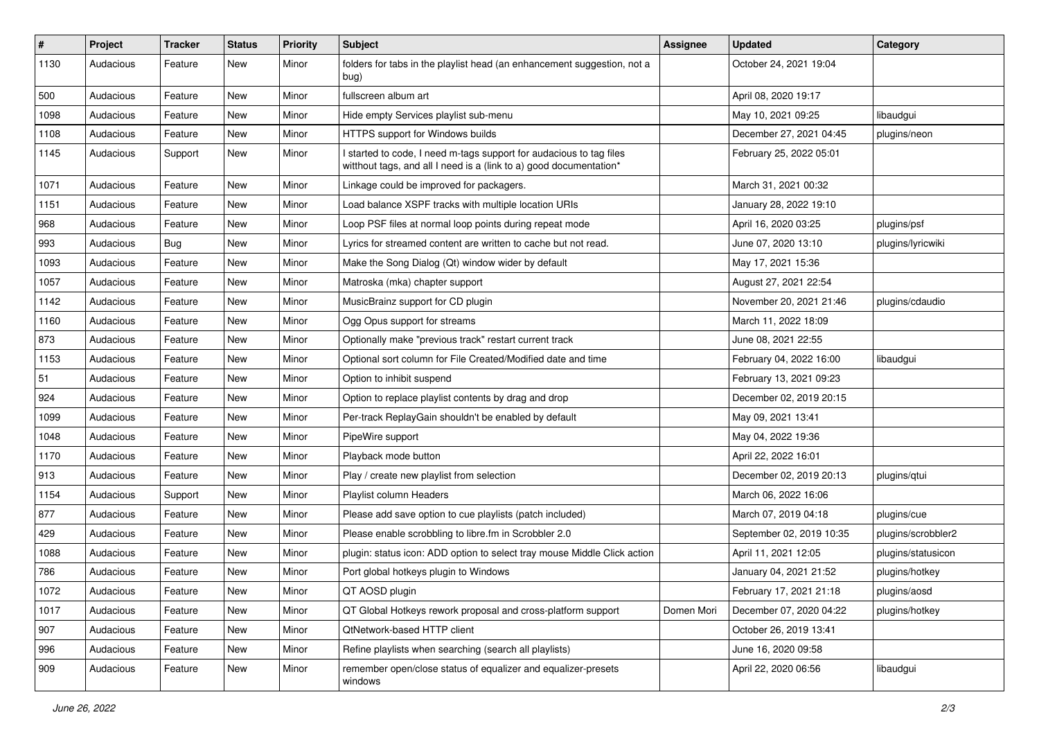| #    | Project   | <b>Tracker</b> | <b>Status</b> | <b>Priority</b> | <b>Subject</b>                                                                                                                            | <b>Assignee</b> | <b>Updated</b>           | Category           |
|------|-----------|----------------|---------------|-----------------|-------------------------------------------------------------------------------------------------------------------------------------------|-----------------|--------------------------|--------------------|
| 1130 | Audacious | Feature        | New           | Minor           | folders for tabs in the playlist head (an enhancement suggestion, not a<br>bug)                                                           |                 | October 24, 2021 19:04   |                    |
| 500  | Audacious | Feature        | New           | Minor           | fullscreen album art                                                                                                                      |                 | April 08, 2020 19:17     |                    |
| 1098 | Audacious | Feature        | New           | Minor           | Hide empty Services playlist sub-menu                                                                                                     |                 | May 10, 2021 09:25       | libaudgui          |
| 1108 | Audacious | Feature        | New           | Minor           | HTTPS support for Windows builds                                                                                                          |                 | December 27, 2021 04:45  | plugins/neon       |
| 1145 | Audacious | Support        | New           | Minor           | I started to code, I need m-tags support for audacious to tag files<br>witthout tags, and all I need is a (link to a) good documentation* |                 | February 25, 2022 05:01  |                    |
| 1071 | Audacious | Feature        | New           | Minor           | Linkage could be improved for packagers.                                                                                                  |                 | March 31, 2021 00:32     |                    |
| 1151 | Audacious | Feature        | New           | Minor           | Load balance XSPF tracks with multiple location URIs                                                                                      |                 | January 28, 2022 19:10   |                    |
| 968  | Audacious | Feature        | New           | Minor           | Loop PSF files at normal loop points during repeat mode                                                                                   |                 | April 16, 2020 03:25     | plugins/psf        |
| 993  | Audacious | Bug            | New           | Minor           | Lyrics for streamed content are written to cache but not read.                                                                            |                 | June 07, 2020 13:10      | plugins/lyricwiki  |
| 1093 | Audacious | Feature        | New           | Minor           | Make the Song Dialog (Qt) window wider by default                                                                                         |                 | May 17, 2021 15:36       |                    |
| 1057 | Audacious | Feature        | New           | Minor           | Matroska (mka) chapter support                                                                                                            |                 | August 27, 2021 22:54    |                    |
| 1142 | Audacious | Feature        | New           | Minor           | MusicBrainz support for CD plugin                                                                                                         |                 | November 20, 2021 21:46  | plugins/cdaudio    |
| 1160 | Audacious | Feature        | New           | Minor           | Ogg Opus support for streams                                                                                                              |                 | March 11, 2022 18:09     |                    |
| 873  | Audacious | Feature        | New           | Minor           | Optionally make "previous track" restart current track                                                                                    |                 | June 08, 2021 22:55      |                    |
| 1153 | Audacious | Feature        | New           | Minor           | Optional sort column for File Created/Modified date and time                                                                              |                 | February 04, 2022 16:00  | libaudgui          |
| 51   | Audacious | Feature        | New           | Minor           | Option to inhibit suspend                                                                                                                 |                 | February 13, 2021 09:23  |                    |
| 924  | Audacious | Feature        | New           | Minor           | Option to replace playlist contents by drag and drop                                                                                      |                 | December 02, 2019 20:15  |                    |
| 1099 | Audacious | Feature        | <b>New</b>    | Minor           | Per-track ReplayGain shouldn't be enabled by default                                                                                      |                 | May 09, 2021 13:41       |                    |
| 1048 | Audacious | Feature        | New           | Minor           | PipeWire support                                                                                                                          |                 | May 04, 2022 19:36       |                    |
| 1170 | Audacious | Feature        | New           | Minor           | Playback mode button                                                                                                                      |                 | April 22, 2022 16:01     |                    |
| 913  | Audacious | Feature        | New           | Minor           | Play / create new playlist from selection                                                                                                 |                 | December 02, 2019 20:13  | plugins/qtui       |
| 1154 | Audacious | Support        | New           | Minor           | Playlist column Headers                                                                                                                   |                 | March 06, 2022 16:06     |                    |
| 877  | Audacious | Feature        | New           | Minor           | Please add save option to cue playlists (patch included)                                                                                  |                 | March 07, 2019 04:18     | plugins/cue        |
| 429  | Audacious | Feature        | New           | Minor           | Please enable scrobbling to libre.fm in Scrobbler 2.0                                                                                     |                 | September 02, 2019 10:35 | plugins/scrobbler2 |
| 1088 | Audacious | Feature        | New           | Minor           | plugin: status icon: ADD option to select tray mouse Middle Click action                                                                  |                 | April 11, 2021 12:05     | plugins/statusicon |
| 786  | Audacious | Feature        | New           | Minor           | Port global hotkeys plugin to Windows                                                                                                     |                 | January 04, 2021 21:52   | plugins/hotkey     |
| 1072 | Audacious | Feature        | New           | Minor           | QT AOSD plugin                                                                                                                            |                 | February 17, 2021 21:18  | plugins/aosd       |
| 1017 | Audacious | Feature        | New           | Minor           | QT Global Hotkeys rework proposal and cross-platform support                                                                              | Domen Mori      | December 07, 2020 04:22  | plugins/hotkey     |
| 907  | Audacious | Feature        | New           | Minor           | QtNetwork-based HTTP client                                                                                                               |                 | October 26, 2019 13:41   |                    |
| 996  | Audacious | Feature        | New           | Minor           | Refine playlists when searching (search all playlists)                                                                                    |                 | June 16, 2020 09:58      |                    |
| 909  | Audacious | Feature        | New           | Minor           | remember open/close status of equalizer and equalizer-presets<br>windows                                                                  |                 | April 22, 2020 06:56     | libaudgui          |